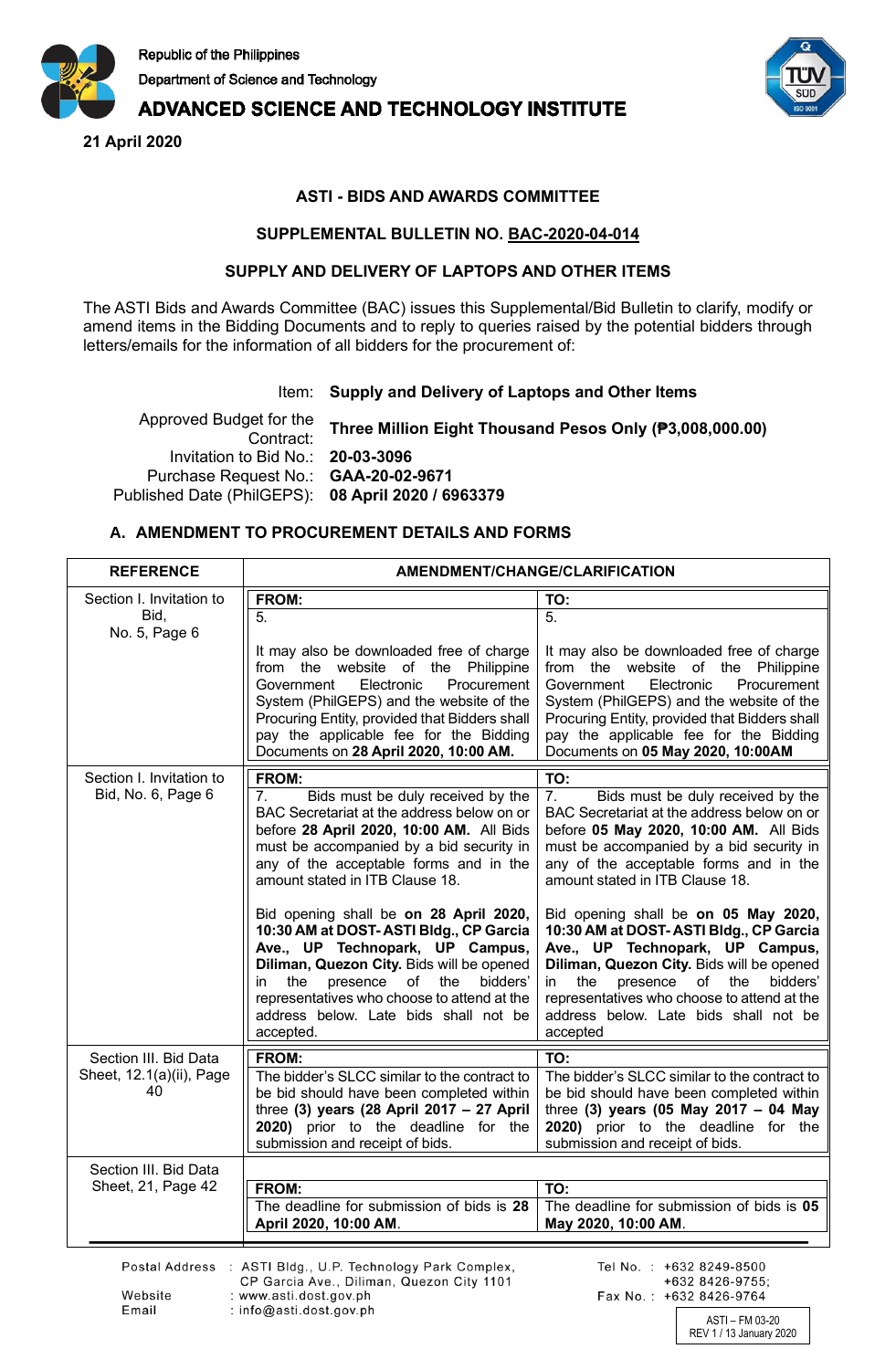

# **ADVANCED SCIENCE AND TECHNOLOGY INSTITUTE**

**21 April 2020**



ASTI – FM 03-20 REV 1 / 13 January 2020

Fax No.: +632 8426-9764

## **ASTI - BIDS AND AWARDS COMMITTEE**

### **SUPPLEMENTAL BULLETIN NO. BAC-2020-04-014**

#### **SUPPLY AND DELIVERY OF LAPTOPS AND OTHER ITEMS**

The ASTI Bids and Awards Committee (BAC) issues this Supplemental/Bid Bulletin to clarify, modify or amend items in the Bidding Documents and to reply to queries raised by the potential bidders through letters/emails for the information of all bidders for the procurement of:

### Item: **Supply and Delivery of Laptops and Other Items**

Approved Budget for the Contract: **Three Million Eight Thousand Pesos Only (₱3,008,000.00)** Invitation to Bid No.: **20-03-3096** Purchase Request No.: **GAA-20-02-9671** Published Date (PhilGEPS): **08 April 2020 / 6963379**

## **A. AMENDMENT TO PROCUREMENT DETAILS AND FORMS**

: www.asti.dost.gov.ph

: info@asti.dost.gov.ph

Website Email

| <b>REFERENCE</b>               | AMENDMENT/CHANGE/CLARIFICATION                                                                                                                                                                                                                                                                                       |                                                                                                                                                                                                                                                                                                                   |
|--------------------------------|----------------------------------------------------------------------------------------------------------------------------------------------------------------------------------------------------------------------------------------------------------------------------------------------------------------------|-------------------------------------------------------------------------------------------------------------------------------------------------------------------------------------------------------------------------------------------------------------------------------------------------------------------|
| Section I. Invitation to       | FROM:                                                                                                                                                                                                                                                                                                                | TO:                                                                                                                                                                                                                                                                                                               |
| Bid,<br>No. 5, Page 6          | 5.                                                                                                                                                                                                                                                                                                                   | 5.                                                                                                                                                                                                                                                                                                                |
|                                | It may also be downloaded free of charge<br>from the website of the Philippine<br>Procurement<br>Government<br>Electronic<br>System (PhilGEPS) and the website of the<br>Procuring Entity, provided that Bidders shall<br>pay the applicable fee for the Bidding<br>Documents on 28 April 2020, 10:00 AM.            | It may also be downloaded free of charge<br>from the website of the Philippine<br>Government<br>Electronic<br>Procurement<br>System (PhilGEPS) and the website of the<br>Procuring Entity, provided that Bidders shall<br>pay the applicable fee for the Bidding<br>Documents on 05 May 2020, 10:00AM             |
| Section I. Invitation to       | FROM:                                                                                                                                                                                                                                                                                                                | TO:                                                                                                                                                                                                                                                                                                               |
| Bid, No. 6, Page 6             | Bids must be duly received by the<br>7.<br>BAC Secretariat at the address below on or<br>before 28 April 2020, 10:00 AM. All Bids<br>must be accompanied by a bid security in<br>any of the acceptable forms and in the<br>amount stated in ITB Clause 18.                                                           | Bids must be duly received by the<br>7.<br>BAC Secretariat at the address below on or<br>before 05 May 2020, 10:00 AM. All Bids<br>must be accompanied by a bid security in<br>any of the acceptable forms and in the<br>amount stated in ITB Clause 18.                                                          |
|                                | Bid opening shall be on 28 April 2020,<br>10:30 AM at DOST-ASTI Bldg., CP Garcia<br>Ave., UP Technopark, UP Campus,<br>Diliman, Quezon City. Bids will be opened<br>the<br>presence<br>of the<br>bidders'<br>in<br>representatives who choose to attend at the<br>address below. Late bids shall not be<br>accepted. | Bid opening shall be on 05 May 2020,<br>10:30 AM at DOST-ASTI Bldg., CP Garcia<br>Ave., UP Technopark, UP Campus,<br>Diliman, Quezon City. Bids will be opened<br>the<br>presence of<br>the<br>bidders'<br>in<br>representatives who choose to attend at the<br>address below. Late bids shall not be<br>accepted |
| Section III. Bid Data          | FROM:                                                                                                                                                                                                                                                                                                                | TO:                                                                                                                                                                                                                                                                                                               |
| Sheet, 12.1(a)(ii), Page<br>40 | The bidder's SLCC similar to the contract to<br>be bid should have been completed within<br>three (3) years (28 April 2017 $-$ 27 April<br>2020) prior to the deadline for the<br>submission and receipt of bids.                                                                                                    | The bidder's SLCC similar to the contract to<br>be bid should have been completed within<br>three (3) years (05 May 2017 - 04 May<br>2020) prior to the deadline for the<br>submission and receipt of bids.                                                                                                       |
| Section III. Bid Data          |                                                                                                                                                                                                                                                                                                                      |                                                                                                                                                                                                                                                                                                                   |
| Sheet, 21, Page 42             | FROM:                                                                                                                                                                                                                                                                                                                | TO:                                                                                                                                                                                                                                                                                                               |
|                                | The deadline for submission of bids is 28<br>April 2020, 10:00 AM.                                                                                                                                                                                                                                                   | The deadline for submission of bids is 05<br>May 2020, 10:00 AM.                                                                                                                                                                                                                                                  |
|                                | Postal Address : ASTI Bldg., U.P. Technology Park Complex,<br>CP Garcia Ave Diliman, Quezon City 1101                                                                                                                                                                                                                | Tel No.: +632 8249-8500<br>$+6328426-9755$                                                                                                                                                                                                                                                                        |